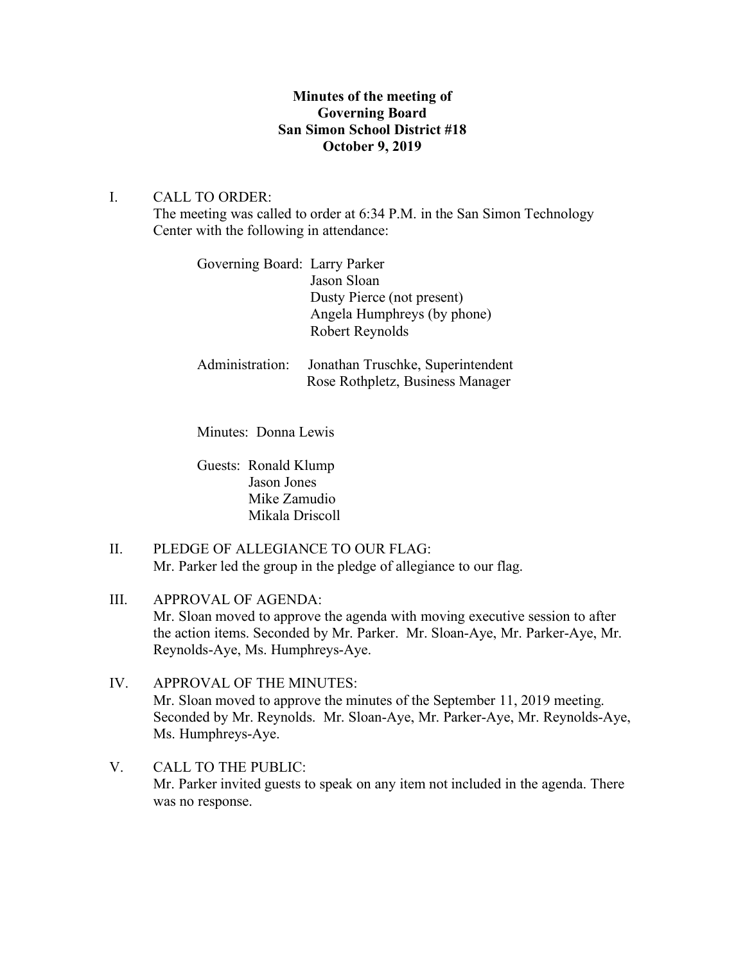# **Minutes of the meeting of Governing Board San Simon School District #18 October 9, 2019**

# I. CALL TO ORDER:

The meeting was called to order at 6:34 P.M. in the San Simon Technology Center with the following in attendance:

| Governing Board: Larry Parker |                             |
|-------------------------------|-----------------------------|
|                               | Jason Sloan                 |
|                               | Dusty Pierce (not present)  |
|                               | Angela Humphreys (by phone) |
|                               | Robert Reynolds             |
|                               |                             |

Administration: Jonathan Truschke, Superintendent Rose Rothpletz, Business Manager

Minutes: Donna Lewis

Guests: Ronald Klump Jason Jones Mike Zamudio Mikala Driscoll

II. PLEDGE OF ALLEGIANCE TO OUR FLAG: Mr. Parker led the group in the pledge of allegiance to our flag.

III. APPROVAL OF AGENDA: Mr. Sloan moved to approve the agenda with moving executive session to after the action items. Seconded by Mr. Parker. Mr. Sloan-Aye, Mr. Parker-Aye, Mr. Reynolds-Aye, Ms. Humphreys-Aye.

- IV. APPROVAL OF THE MINUTES: Mr. Sloan moved to approve the minutes of the September 11, 2019 meeting. Seconded by Mr. Reynolds. Mr. Sloan-Aye, Mr. Parker-Aye, Mr. Reynolds-Aye, Ms. Humphreys-Aye.
- V. CALL TO THE PUBLIC: Mr. Parker invited guests to speak on any item not included in the agenda. There was no response.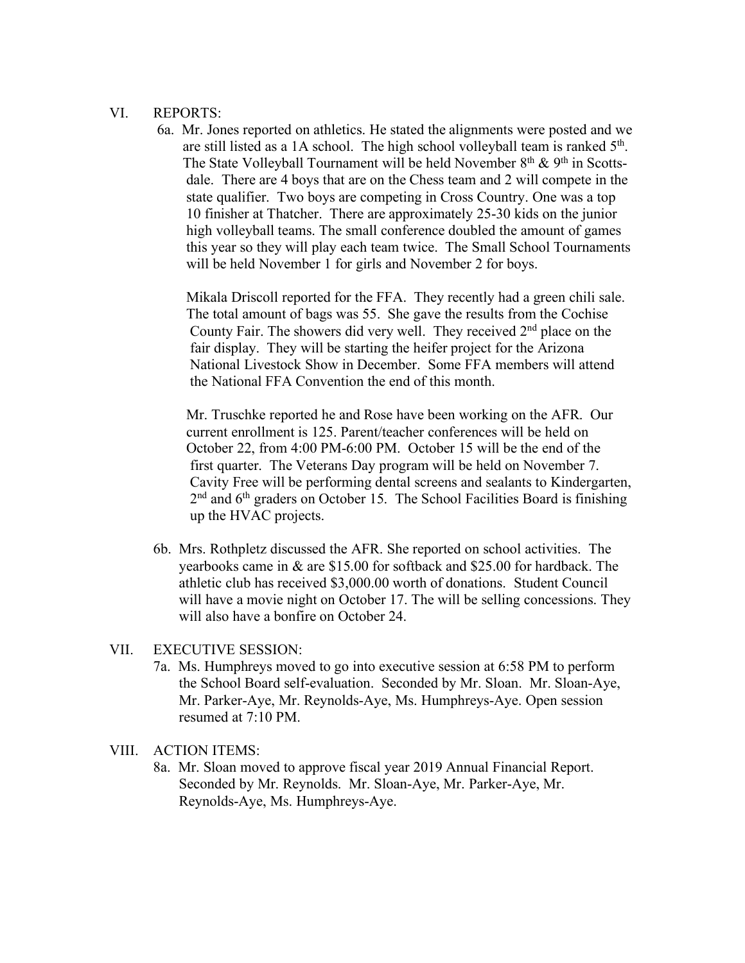### VI. REPORTS:

6a. Mr. Jones reported on athletics. He stated the alignments were posted and we are still listed as a 1A school. The high school volleyball team is ranked 5th. The State Volleyball Tournament will be held November  $8<sup>th</sup>$  &  $9<sup>th</sup>$  in Scotts dale. There are 4 boys that are on the Chess team and 2 will compete in the state qualifier. Two boys are competing in Cross Country. One was a top 10 finisher at Thatcher. There are approximately 25-30 kids on the junior high volleyball teams. The small conference doubled the amount of games this year so they will play each team twice. The Small School Tournaments will be held November 1 for girls and November 2 for boys.

 Mikala Driscoll reported for the FFA. They recently had a green chili sale. The total amount of bags was 55. She gave the results from the Cochise County Fair. The showers did very well. They received 2nd place on the fair display. They will be starting the heifer project for the Arizona National Livestock Show in December. Some FFA members will attend the National FFA Convention the end of this month.

 Mr. Truschke reported he and Rose have been working on the AFR. Our current enrollment is 125. Parent/teacher conferences will be held on October 22, from 4:00 PM-6:00 PM. October 15 will be the end of the first quarter. The Veterans Day program will be held on November 7. Cavity Free will be performing dental screens and sealants to Kindergarten,  $2<sup>nd</sup>$  and  $6<sup>th</sup>$  graders on October 15. The School Facilities Board is finishing up the HVAC projects.

6b. Mrs. Rothpletz discussed the AFR. She reported on school activities. The yearbooks came in & are \$15.00 for softback and \$25.00 for hardback. The athletic club has received \$3,000.00 worth of donations. Student Council will have a movie night on October 17. The will be selling concessions. They will also have a bonfire on October 24.

#### VII. EXECUTIVE SESSION:

7a. Ms. Humphreys moved to go into executive session at 6:58 PM to perform the School Board self-evaluation. Seconded by Mr. Sloan. Mr. Sloan-Aye, Mr. Parker-Aye, Mr. Reynolds-Aye, Ms. Humphreys-Aye. Open session resumed at 7:10 PM.

## VIII. ACTION ITEMS:

8a. Mr. Sloan moved to approve fiscal year 2019 Annual Financial Report. Seconded by Mr. Reynolds. Mr. Sloan-Aye, Mr. Parker-Aye, Mr. Reynolds-Aye, Ms. Humphreys-Aye.